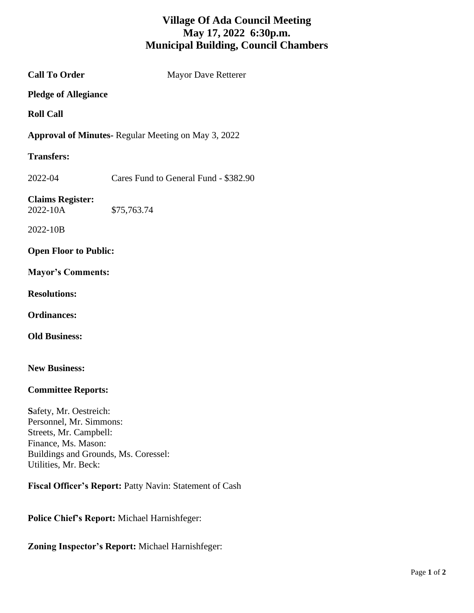# **Village Of Ada Council Meeting May 17, 2022 6:30p.m. Municipal Building, Council Chambers**

**Call To Order** Mayor Dave Retterer **Pledge of Allegiance Roll Call Approval of Minutes-** Regular Meeting on May 3, 2022 **Transfers:** 2022-04 Cares Fund to General Fund - \$382.90 **Claims Register:** 2022-10A \$75,763.74 2022-10B **Open Floor to Public: Mayor's Comments: Resolutions: Ordinances: Old Business:**

**New Business:** 

# **Committee Reports:**

**S**afety, Mr. Oestreich: Personnel, Mr. Simmons: Streets, Mr. Campbell: Finance, Ms. Mason: Buildings and Grounds, Ms. Coressel: Utilities, Mr. Beck:

**Fiscal Officer's Report:** Patty Navin: Statement of Cash

**Police Chief's Report:** Michael Harnishfeger:

# **Zoning Inspector's Report:** Michael Harnishfeger: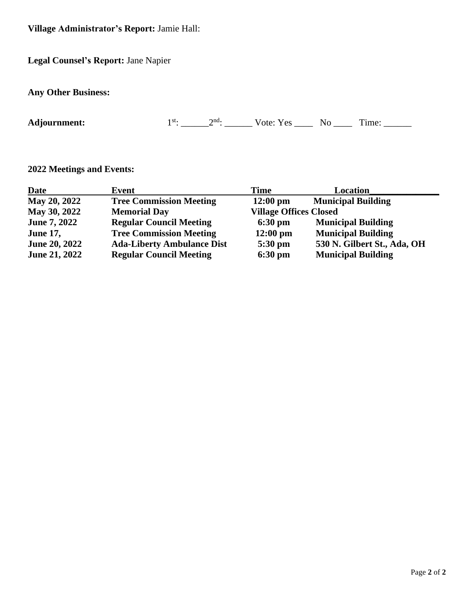**Village Administrator's Report:** Jamie Hall:

**Legal Counsel's Report:** Jane Napier

**Any Other Business:**

**Adjournment:** 1

st: \_\_\_\_\_\_2nd: \_\_\_\_\_\_ Vote: Yes \_\_\_\_ No \_\_\_\_ Time: \_\_\_\_\_\_

**2022 Meetings and Events:**

| Date                 | Event                             | Time                          | Location                    |
|----------------------|-----------------------------------|-------------------------------|-----------------------------|
| May 20, 2022         | <b>Tree Commission Meeting</b>    | $12:00 \text{ pm}$            | <b>Municipal Building</b>   |
| May 30, 2022         | <b>Memorial Day</b>               | <b>Village Offices Closed</b> |                             |
| <b>June 7, 2022</b>  | <b>Regular Council Meeting</b>    | $6:30 \text{ pm}$             | <b>Municipal Building</b>   |
| <b>June 17,</b>      | <b>Tree Commission Meeting</b>    | $12:00$ pm                    | <b>Municipal Building</b>   |
| <b>June 20, 2022</b> | <b>Ada-Liberty Ambulance Dist</b> | 5:30 pm                       | 530 N. Gilbert St., Ada, OH |
| <b>June 21, 2022</b> | <b>Regular Council Meeting</b>    | $6:30 \text{ pm}$             | <b>Municipal Building</b>   |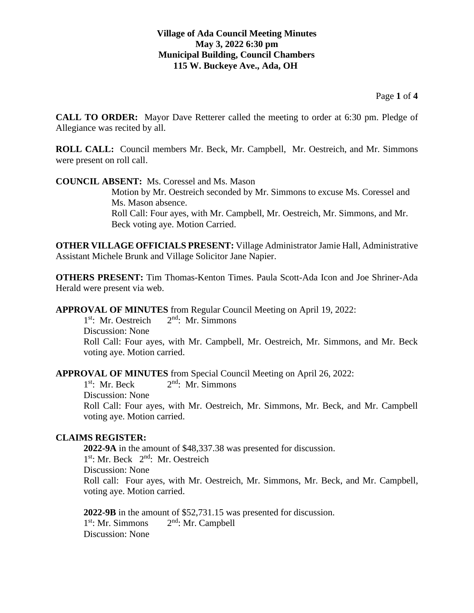Page **1** of **4**

**CALL TO ORDER:** Mayor Dave Retterer called the meeting to order at 6:30 pm. Pledge of Allegiance was recited by all.

**ROLL CALL:** Council members Mr. Beck, Mr. Campbell, Mr. Oestreich, and Mr. Simmons were present on roll call.

# **COUNCIL ABSENT:** Ms. Coressel and Ms. Mason

Motion by Mr. Oestreich seconded by Mr. Simmons to excuse Ms. Coressel and Ms. Mason absence. Roll Call: Four ayes, with Mr. Campbell, Mr. Oestreich, Mr. Simmons, and Mr. Beck voting aye. Motion Carried.

**OTHER VILLAGE OFFICIALS PRESENT:** Village Administrator Jamie Hall, Administrative Assistant Michele Brunk and Village Solicitor Jane Napier.

**OTHERS PRESENT:** Tim Thomas-Kenton Times. Paula Scott-Ada Icon and Joe Shriner-Ada Herald were present via web.

#### **APPROVAL OF MINUTES** from Regular Council Meeting on April 19, 2022:

1<sup>st</sup>: Mr. Oestreich 2  $2<sup>nd</sup>$ : Mr. Simmons Discussion: None Roll Call: Four ayes, with Mr. Campbell, Mr. Oestreich, Mr. Simmons, and Mr. Beck voting aye. Motion carried.

**APPROVAL OF MINUTES** from Special Council Meeting on April 26, 2022:

 $1<sup>st</sup>$ : Mr. Beck 2  $2<sup>nd</sup>$ : Mr. Simmons Discussion: None Roll Call: Four ayes, with Mr. Oestreich, Mr. Simmons, Mr. Beck, and Mr. Campbell voting aye. Motion carried.

# **CLAIMS REGISTER:**

**2022-9A** in the amount of \$48,337.38 was presented for discussion. 1<sup>st</sup>: Mr. Beck 2<sup>nd</sup>: Mr. Oestreich Discussion: None Roll call: Four ayes, with Mr. Oestreich, Mr. Simmons, Mr. Beck, and Mr. Campbell, voting aye. Motion carried.

**2022-9B** in the amount of \$52,731.15 was presented for discussion. 1<sup>st</sup>: Mr. Simmons 2  $2<sup>nd</sup>$ : Mr. Campbell Discussion: None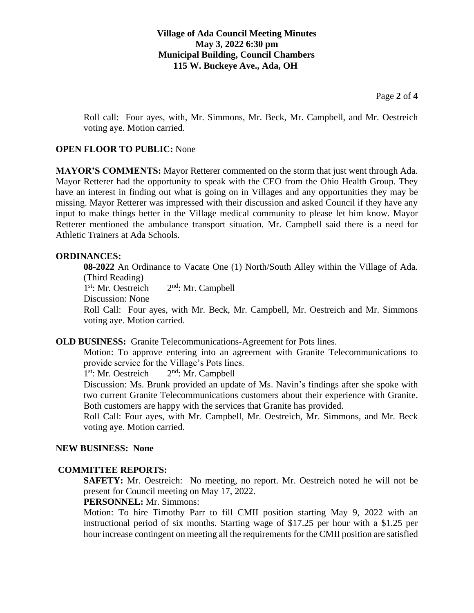Page **2** of **4**

Roll call: Four ayes, with, Mr. Simmons, Mr. Beck, Mr. Campbell, and Mr. Oestreich voting aye. Motion carried.

#### **OPEN FLOOR TO PUBLIC:** None

**MAYOR'S COMMENTS:** Mayor Retterer commented on the storm that just went through Ada. Mayor Retterer had the opportunity to speak with the CEO from the Ohio Health Group. They have an interest in finding out what is going on in Villages and any opportunities they may be missing. Mayor Retterer was impressed with their discussion and asked Council if they have any input to make things better in the Village medical community to please let him know. Mayor Retterer mentioned the ambulance transport situation. Mr. Campbell said there is a need for Athletic Trainers at Ada Schools.

# **ORDINANCES:**

**08-2022** An Ordinance to Vacate One (1) North/South Alley within the Village of Ada. (Third Reading)

1<sup>st</sup>: Mr. Oestreich 2  $2<sup>nd</sup>$ : Mr. Campbell

Discussion: None

Roll Call: Four ayes, with Mr. Beck, Mr. Campbell, Mr. Oestreich and Mr. Simmons voting aye. Motion carried.

#### **OLD BUSINESS:** Granite Telecommunications-Agreement for Pots lines.

Motion: To approve entering into an agreement with Granite Telecommunications to provide service for the Village's Pots lines.

1<sup>st</sup>: Mr. Oestreich 2  $2<sup>nd</sup>$ : Mr. Campbell

Discussion: Ms. Brunk provided an update of Ms. Navin's findings after she spoke with two current Granite Telecommunications customers about their experience with Granite. Both customers are happy with the services that Granite has provided.

Roll Call: Four ayes, with Mr. Campbell, Mr. Oestreich, Mr. Simmons, and Mr. Beck voting aye. Motion carried.

#### **NEW BUSINESS: None**

#### **COMMITTEE REPORTS:**

**SAFETY:** Mr. Oestreich: No meeting, no report. Mr. Oestreich noted he will not be present for Council meeting on May 17, 2022.

#### **PERSONNEL:** Mr. Simmons:

Motion: To hire Timothy Parr to fill CMII position starting May 9, 2022 with an instructional period of six months. Starting wage of \$17.25 per hour with a \$1.25 per hour increase contingent on meeting all the requirements for the CMII position are satisfied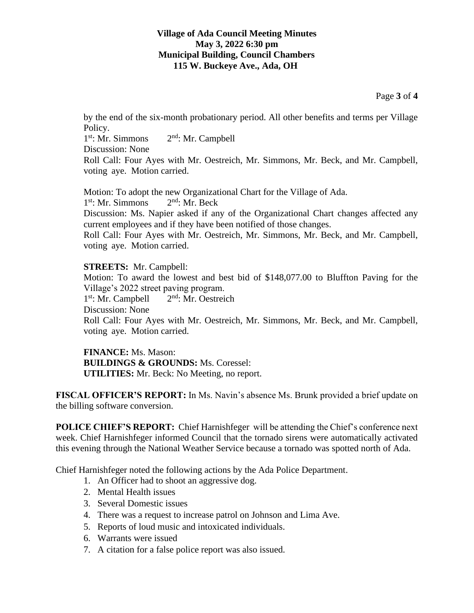# **Village of Ada Council Meeting Minutes May 3, 2022 6:30 pm Municipal Building, Council Chambers 115 W. Buckeye Ave., Ada, OH**

Page **3** of **4**

by the end of the six-month probationary period. All other benefits and terms per Village Policy.

1<sup>st</sup>: Mr. Simmons 2 2<sup>nd</sup>: Mr. Campbell Discussion: None Roll Call: Four Ayes with Mr. Oestreich, Mr. Simmons, Mr. Beck, and Mr. Campbell, voting aye. Motion carried.

Motion: To adopt the new Organizational Chart for the Village of Ada.

1<sup>st</sup>: Mr. Simmons 2  $2<sup>nd</sup>$ : Mr. Beck

Discussion: Ms. Napier asked if any of the Organizational Chart changes affected any current employees and if they have been notified of those changes.

Roll Call: Four Ayes with Mr. Oestreich, Mr. Simmons, Mr. Beck, and Mr. Campbell, voting aye. Motion carried.

# **STREETS:** Mr. Campbell:

Motion: To award the lowest and best bid of \$148,077.00 to Bluffton Paving for the Village's 2022 street paving program. 1<sup>st</sup>: Mr. Campbell 2  $2<sup>nd</sup>$ : Mr. Oestreich Discussion: None

Roll Call: Four Ayes with Mr. Oestreich, Mr. Simmons, Mr. Beck, and Mr. Campbell, voting aye. Motion carried.

**FINANCE:** Ms. Mason: **BUILDINGS & GROUNDS:** Ms. Coressel: **UTILITIES:** Mr. Beck: No Meeting, no report.

**FISCAL OFFICER'S REPORT:** In Ms. Navin's absence Ms. Brunk provided a brief update on the billing software conversion.

**POLICE CHIEF'S REPORT:** Chief Harnishfeger will be attending the Chief's conference next week. Chief Harnishfeger informed Council that the tornado sirens were automatically activated this evening through the National Weather Service because a tornado was spotted north of Ada.

Chief Harnishfeger noted the following actions by the Ada Police Department.

- 1. An Officer had to shoot an aggressive dog.
- 2. Mental Health issues
- 3. Several Domestic issues
- 4. There was a request to increase patrol on Johnson and Lima Ave.
- 5. Reports of loud music and intoxicated individuals.
- 6. Warrants were issued
- 7. A citation for a false police report was also issued.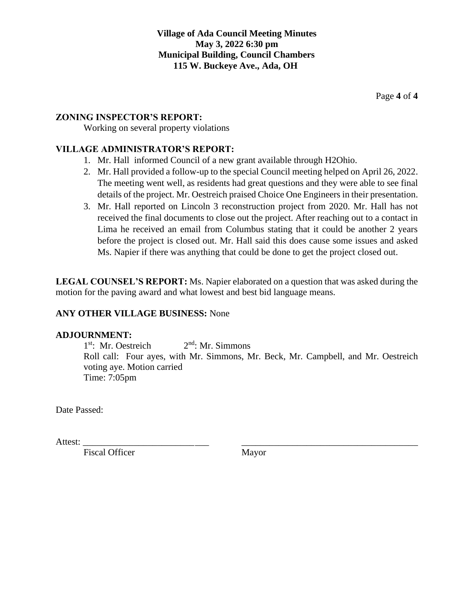Page **4** of **4**

# **ZONING INSPECTOR'S REPORT:**

Working on several property violations

# **VILLAGE ADMINISTRATOR'S REPORT:**

- 1. Mr. Hall informed Council of a new grant available through H2Ohio.
- 2. Mr. Hall provided a follow-up to the special Council meeting helped on April 26, 2022. The meeting went well, as residents had great questions and they were able to see final details of the project. Mr. Oestreich praised Choice One Engineers in their presentation.
- 3. Mr. Hall reported on Lincoln 3 reconstruction project from 2020. Mr. Hall has not received the final documents to close out the project. After reaching out to a contact in Lima he received an email from Columbus stating that it could be another 2 years before the project is closed out. Mr. Hall said this does cause some issues and asked Ms. Napier if there was anything that could be done to get the project closed out.

**LEGAL COUNSEL'S REPORT:** Ms. Napier elaborated on a question that was asked during the motion for the paving award and what lowest and best bid language means.

# **ANY OTHER VILLAGE BUSINESS:** None

# **ADJOURNMENT:**

1<sup>st</sup>: Mr. Oestreich 2  $2<sup>nd</sup>$ : Mr. Simmons Roll call: Four ayes, with Mr. Simmons, Mr. Beck, Mr. Campbell, and Mr. Oestreich voting aye. Motion carried Time: 7:05pm

Date Passed:

Attest: \_\_\_\_\_\_\_\_\_\_\_\_\_\_\_\_\_\_\_\_\_\_\_\_\_\_\_ \_\_\_\_\_\_\_\_\_\_\_\_\_\_\_\_\_\_\_\_\_\_\_\_\_\_\_\_\_\_\_\_\_\_\_\_\_\_

Fiscal Officer Mayor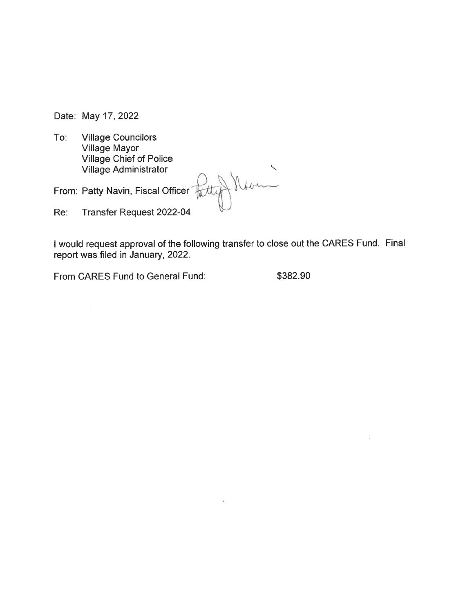Date: May 17, 2022

**Village Councilors** To: **Village Mayor** Village Chief of Police Village Administrator

From: Patty Navin, Fiscal Officer

**Transfer Request 2022-04** Re:

I would request approval of the following transfer to close out the CARES Fund. Final report was filed in January, 2022.

ò.

Noon

\$382.90 From CARES Fund to General Fund: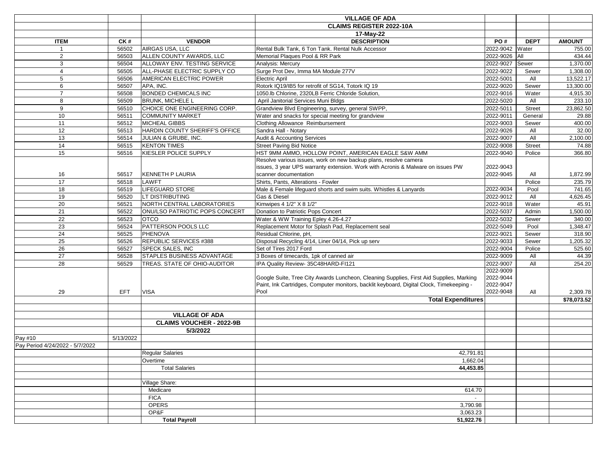|                                 |                |                                            | <b>VILLAGE OF ADA</b>                                                                    |                        |                 |                    |
|---------------------------------|----------------|--------------------------------------------|------------------------------------------------------------------------------------------|------------------------|-----------------|--------------------|
|                                 |                |                                            | <b>CLAIMS REGISTER 2022-10A</b>                                                          |                        |                 |                    |
|                                 |                |                                            | 17-May-22                                                                                |                        |                 |                    |
| <b>ITEM</b>                     | CK#            | <b>VENDOR</b>                              | <b>DESCRIPTION</b>                                                                       | PO#                    | <b>DEPT</b>     | <b>AMOUNT</b>      |
|                                 | 56502          | AIRGAS USA, LLC                            | Rental Bulk Tank, 6 Ton Tank. Rental Nulk Accessor                                       | 2022-9042 Water        |                 | 755.00             |
| $\overline{2}$                  | 56503          | ALLEN COUNTY AWARDS, LLC                   | Memorial Plaques Pool & RR Park                                                          | 2022-9026 All          |                 | 434.44             |
| 3                               | 56504          | ALLOWAY ENV. TESTING SERVICE               | Analysis: Mercury                                                                        | 2022-9027              | Sewer           | 1,370.00           |
| $\overline{4}$                  | 56505          | ALL-PHASE ELECTRIC SUPPLY CO               | Surge Prot Dev, Imma MA Module 277V                                                      | 2022-9022              | Sewer           | 1,308.00           |
| 5                               | 56506          | AMERICAN ELECTRIC POWER                    | <b>Electric April</b>                                                                    | 2022-5001              | All             | 13,522.17          |
| 6                               | 56507          | APA, INC.                                  | Rotork IQ19/IB5 for retrofit of SG14, Totork IQ 19                                       | 2022-9020              | Sewer           | 13,300.00          |
| $\overline{7}$                  | 56508          | <b>BONDED CHEMICALS INC</b>                | 1050.lb Chlorine, 2320LB Ferric Chloride Solution,                                       | 2022-9016              | Water           | 4,915.30           |
| 8                               | 56509          | <b>BRUNK, MICHELE L</b>                    | April Janitorial Services Muni Bldgs                                                     | 2022-5020              | All             | 233.10             |
| 9                               | 56510          | CHOICE ONE ENGINEERING CORP.               | Grandview Blvd Engineering, survey, general SWPP,                                        | 2022-5011              | Street          | 23,862.50          |
| 10 <sup>10</sup>                | 56511          | <b>COMMUNITY MARKET</b>                    | Water and snacks for special meeting for grandview                                       | 2022-9011              | General         | 29.88              |
| 11                              | 56512          | <b>MICHEAL GIBBS</b>                       | Clothing Allowance Reimbursement                                                         | 2022-9003              | Sewer           | 400.00             |
| 12                              | 56513          | HARDIN COUNTY SHERIFF'S OFFICE             | Sandra Hall - Notary                                                                     | 2022-9026              | All             | 32.00              |
| 13                              | 56514          | JULIAN & GRUBE, INC.                       | Audit & Accounting Services                                                              | 2022-9007              | All             | 2,100.00           |
| 14                              | 56515          | <b>KENTON TIMES</b>                        | <b>Street Paving Bid Notice</b>                                                          | 2022-9008              | <b>Street</b>   | 74.88              |
| 15                              | 56516          | KIESLER POLICE SUPPLY                      | HST 9MM AMMO, HOLLOW POINT, AMERICAN EAGLE S&W AMM                                       | 2022-9040              | Police          | 366.80             |
|                                 |                |                                            | Resolve various issues, work on new backup plans, resolve camera                         |                        |                 |                    |
|                                 |                |                                            | issues, 3 year UPS warranty extension. Work with Acronis & Malware on issues PW          | 2022-9043              |                 |                    |
| 16                              | 56517          | KENNETH P LAURIA                           | scanner documentation                                                                    | 2022-9045              | All             | 1,872.99           |
| 17                              | 56518          | LAWFT                                      | Shirts, Pants, Alterations - Fowler                                                      |                        | Police          | 235.79             |
| $\overline{18}$                 | 56519          | LIFEGUARD STORE                            | Male & Female lifeguard shorts and swim suits. Whistles & Lanyards                       | 2022-9034              | Pool            | 741.65             |
| 19                              | 56520          | LT DISTRIBUTING                            | Gas & Diesel                                                                             | 2022-9012              | All             | 4,626.45           |
| 20                              | 56521          | NORTH CENTRAL LABORATORIES                 | Kimwipes 4 1/2" X 8 1/2"                                                                 | 2022-9018              | Water           | 45.91              |
| 21                              | 56522          | ONU/LSO PATRIOTIC POPS CONCERT             | Donation to Patriotic Pops Concert                                                       | 2022-5037              | Admin           | 1,500.00           |
| 22                              | 56523          | <b>OTCO</b>                                | Water & WW Training Epley 4.26-4.27                                                      | 2022-5032              | Sewer           | 340.00             |
| 23                              | 56524          | <b>PATTERSON POOLS LLC</b>                 | Replacement Motor for Splash Pad, Replacement seal                                       | 2022-5049              | Pool            | 1,348.47           |
| 24                              | 56525          | <b>PHENOVA</b>                             | Residual Chlorine, pH,                                                                   | 2022-9021              |                 | 318.90             |
|                                 |                |                                            |                                                                                          |                        | Sewer           |                    |
| 25<br>26                        | 56526<br>56527 | REPUBLIC SERVICES #388<br>SPECK SALES, INC | Disposal Recycling 4/14, Liner 04/14, Pick up serv<br>Set of Tires 2017 Ford             | 2022-9033<br>2022-9004 | Sewer<br>Police | 1,205.32<br>525.60 |
|                                 |                | STAPLES BUSINESS ADVANTAGE                 |                                                                                          |                        |                 |                    |
| 27<br>$\overline{28}$           | 56528          |                                            | 3 Boxes of timecards, 1pk of canned air                                                  | 2022-9009<br>2022-9007 | All             | 44.39<br>254.20    |
|                                 | 56529          | TREAS. STATE OF OHIO-AUDITOR               | IPA Quality Review- 35C48HARD-FI121                                                      | 2022-9009              | All             |                    |
|                                 |                |                                            | Google Suite, Tree City Awards Luncheon, Cleaning Supplies, First Aid Supplies, Marking  | 2022-9044              |                 |                    |
|                                 |                |                                            | Paint, Ink Cartridges, Computer monitors, backlit keyboard, Digital Clock, Timekeeping - | 2022-9047              |                 |                    |
| 29                              | EFT            | <b>VISA</b>                                | Pool                                                                                     | 2022-9048              | All             | 2,309.78           |
|                                 |                |                                            |                                                                                          |                        |                 |                    |
|                                 |                |                                            | <b>Total Expenditures</b>                                                                |                        |                 | \$78,073.52        |
|                                 |                |                                            |                                                                                          |                        |                 |                    |
|                                 |                | <b>VILLAGE OF ADA</b>                      |                                                                                          |                        |                 |                    |
|                                 |                | <b>CLAIMS VOUCHER - 2022-9B</b>            |                                                                                          |                        |                 |                    |
|                                 |                | 5/3/2022                                   |                                                                                          |                        |                 |                    |
| Pay #10                         | 5/13/2022      |                                            |                                                                                          |                        |                 |                    |
| Pay Period 4/24/2022 - 5/7/2022 |                |                                            |                                                                                          |                        |                 |                    |
|                                 |                | <b>Regular Salaries</b>                    | 42,791.81                                                                                |                        |                 |                    |
|                                 |                | Overtime                                   | 1.662.04                                                                                 |                        |                 |                    |
|                                 |                | <b>Total Salaries</b>                      | 44,453.85                                                                                |                        |                 |                    |
|                                 |                |                                            |                                                                                          |                        |                 |                    |
|                                 |                | Village Share:                             |                                                                                          |                        |                 |                    |
|                                 |                | Medicare                                   | 614.70                                                                                   |                        |                 |                    |
|                                 |                | <b>FICA</b>                                | $\sim$                                                                                   |                        |                 |                    |
|                                 |                | OPERS                                      | 3,790.98                                                                                 |                        |                 |                    |
|                                 |                | OP&F                                       | 3,063.23                                                                                 |                        |                 |                    |
|                                 |                | <b>Total Payroll</b>                       | 51,922.76                                                                                |                        |                 |                    |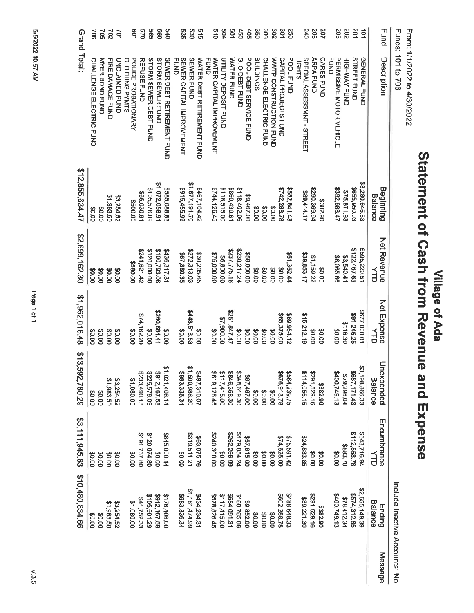|         | \$10,480,834.66               | \$3,111,945.63   | \$13,592,780.29              | \$1,962,016.48   | \$2,699,162.30          | \$12,855,634.47      | Grand Total:                            |             |
|---------|-------------------------------|------------------|------------------------------|------------------|-------------------------|----------------------|-----------------------------------------|-------------|
|         | 00.08                         | 00'0\$           | 00'0\$                       | 00'0\$           | 30.00                   | 00.02                | CHALLENGE ELECTRIC FUND                 | $\approx$   |
|         | 00.0\$                        | 00'0\$           | 00.04                        | 00.0\$           | 00.08                   | 00.0\$               | <b>NYER BOND FUND</b>                   | 70S         |
|         | \$1,983.50                    | 00.0\$           | \$1,983.50                   | 00.08            | 00'0\$                  | \$1,983.50           | FIRE DAMAGE FUND                        | 202         |
|         | \$3,254.52                    | 00.08            | \$3,254.52                   | 00'0\$           | 00.08                   | \$3,254.52           |                                         |             |
|         |                               |                  |                              |                  |                         |                      | <b>UNCLAIMED FUND</b>                   | 701         |
|         | \$1,080.00                    | 00.08            | \$1,080.00                   | 00.08            | 00'089\$                | 00'0053              | POLICE PROBATIONARY<br>CLOTHING PYMTS   | 501         |
|         | \$41,752.33                   | 5191,737.80      | \$233,490.13                 | \$74,162.20      | 241,621.42              | \$66,030.91          | <b>REFUSE FUND</b>                      | 0/5         |
|         | \$105,501.29                  | \$120,074.80     | \$225,576.09                 | 00.08            | \$120,000.00            | \$105,576.09         | STORM SEWER DEBT FUND                   | 565         |
|         | \$912,167.58                  | 00.08            | \$912,167.58                 | \$260,684.41     | \$100,793.08            | \$1,072,058.91       | <b>STORM SEWER FUND</b>                 | 099         |
|         | \$176,406.00                  | \$845,000.14     | ↔<br>1,021,406.14            | 00'0\$           | \$436,317.31            | \$585,088.83         | <b>SEWER DEBT RETIREMENT FUND</b>       | $0+5$       |
|         | \$983,336.34                  | 00.0\$           | \$983,336.34                 | 00'0\$           |                         |                      | <b>HUND</b>                             |             |
|         |                               |                  |                              |                  | \$67,880.35             | \$915,455.99         | <b>SEWER CAPITAL IMPROVEMENT</b>        | 535         |
|         | 81,181,474.99                 | 5319,511.21      | ↮<br>1,500,986.20            | \$448,518.53     | \$272,313.03            | \$1,677,191.70       | <b>SEWER FUND</b>                       | 089         |
|         | 5434,234.31                   | \$63,075.76      | \$497,310.07                 | 00.08            | \$30,205.65             | \$467,104.42         | WATER DEBT RETIREMENT FUND              | <b>S15</b>  |
|         |                               |                  |                              |                  |                         |                      | <b>FUND</b>                             |             |
|         | \$578,826.45                  | 00'008'072\$     | \$819,126.45                 | 00.08            | \$75,000.00             | \$744,126.45         | WATER CAPITAL IMPROVEMENT               | 210         |
|         | \$117,415.00                  | 00.08            | \$117,415.00                 | 00'006'1\$       | 00.008,98               | \$118,515.00         | UTILITY DEPOSIT FUND                    | 504         |
|         | \$584,091.31                  | \$262,266.99     | \$846,358.30                 | \$251,847.47     | \$237,775.16            | \$860,430.61         | WATER FUND                              | 501         |
|         | \$168,765.06                  | \$179,854.24     | \$348,619.30                 | 00.0\$           | 2230,217.24             | \$118,402.06         | G. O DEBT FUND                          | 450         |
|         | \$9,852.00                    | \$57,615.00      | 567,467.00                   | 00.0\$           | \$58,000.00             | \$9,467.00           | <b>POOL DEBT SERVICE FUND</b>           | 405         |
|         | 00.0\$                        | 00.0\$           | 00'0\$                       | 00.08            | 00.08                   | 00.04                | <b>BUILDINGS</b>                        | 350         |
|         | 00'0\$                        | 00.08            | 00'0\$                       | 30.00            | 00.08                   | 00.04                | CHALLENGE ELECTRIC FUND                 | 303         |
|         | 00'0\$                        | 00.08            | 00'0\$                       | 00.0\$           | 00'0\$                  | 00.08                | WWTP CONSTRUCTION FUND                  | 302         |
|         | \$602,288.78                  | \$74,625.00      | \$676,913.78                 | \$65,375.00      | 00.08                   | \$742,288.78         | <b>CAPITAL PROJECTS FUND</b>            | 301         |
|         | \$488,648.33                  | \$75,591.42      | \$564,239.75                 | \$69,954.12      | \$51,352.44             | \$582,841.43         | <b>POOL FUND</b>                        | 250         |
|         |                               |                  |                              |                  |                         |                      | LIGHTS                                  |             |
|         | \$89,221.30                   | \$24,833.85      | \$114,055.15                 | \$15,212.19      | \$39,853.17             | 589,414.17           | SPECIAL ASSESSMNT - STREET              | 240         |
|         | \$291,529.16                  | 00'0\$           | \$291,529.16                 | 00'0\$           | 21,159.22               | \$290,369.94         | <b>ARPA FUND</b>                        | 208         |
|         | \$382.90                      | 00'0\$           | 06'782\$                     | 00.08            | 00'0\$                  | \$382.90             | <b>CARES FUND</b>                       | 207         |
|         | \$400,749.13                  | 00'0\$           | \$400,749.13                 | 00'0\$           | \$8,065.66              | \$392,683.47         | <b>EUND</b><br>PERMISSIVE MOTOR VEHICLE | 203         |
|         | \$78,412.34                   | \$883.70         | \$79,296.04                  | \$116.30         | \$3,540.41              | \$75,871.93          |                                         |             |
|         |                               |                  |                              |                  |                         |                      |                                         | 202         |
|         | \$574,312.65                  | \$112,858.78     | \$687,171.43                 | 591,246.25       | \$122,467.65            | \$655,950.03         | <b>STREET FUND</b>                      | 201         |
|         | \$2,655,149.39                | \$543,716.94     | \$3,198,866.33               | \$677,000.01     | \$595,220.51            | \$3,280,645.83       | <b>GENERAL FUND</b>                     | 요           |
| Message | Balance<br>Ending             | Encumbrance<br>白 | Unexpended<br><b>Balance</b> | Net Expense<br>台 | <b>Net Revenue</b><br>白 | Beginning<br>Balance | Description                             | <b>Fund</b> |
|         | Include Inactive Accounts: No |                  |                              |                  |                         |                      | <b>Funds: 101 to 706</b>                |             |
|         |                               |                  |                              |                  |                         |                      |                                         |             |
|         |                               |                  |                              |                  |                         |                      | From: 1/1/2022 to 4/30/2022             |             |

Statement of Cash from Revenue and Expense

Village of Ada

5/5/2022 10:57 AM

 $V.3.5$